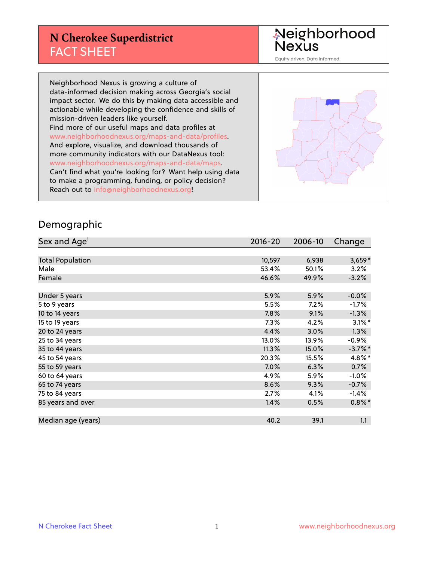#### **N Cherokee Superdistrict** FACT SHEET

Neighborhood<br>Nexus

Equity driven. Data informed.

Neighborhood Nexus is growing a culture of data-informed decision making across Georgia's social impact sector. We do this by making data accessible and actionable while developing the confidence and skills of mission-driven leaders like yourself. Find more of our useful maps and data profiles at www.neighborhoodnexus.org/maps-and-data/profiles. And explore, visualize, and download thousands of more community indicators with our DataNexus tool: www.neighborhoodnexus.org/maps-and-data/maps. Can't find what you're looking for? Want help using data to make a programming, funding, or policy decision? Reach out to [info@neighborhoodnexus.org!](mailto:info@neighborhoodnexus.org)



#### Demographic

| Sex and Age <sup>1</sup> | $2016 - 20$ | 2006-10 | Change     |
|--------------------------|-------------|---------|------------|
|                          |             |         |            |
| <b>Total Population</b>  | 10,597      | 6,938   | $3,659*$   |
| Male                     | 53.4%       | 50.1%   | 3.2%       |
| Female                   | 46.6%       | 49.9%   | $-3.2%$    |
|                          |             |         |            |
| Under 5 years            | 5.9%        | 5.9%    | $-0.0%$    |
| 5 to 9 years             | 5.5%        | 7.2%    | $-1.7\%$   |
| 10 to 14 years           | 7.8%        | 9.1%    | $-1.3%$    |
| 15 to 19 years           | 7.3%        | 4.2%    | $3.1\%$ *  |
| 20 to 24 years           | 4.4%        | 3.0%    | 1.3%       |
| 25 to 34 years           | 13.0%       | 13.9%   | $-0.9%$    |
| 35 to 44 years           | 11.3%       | 15.0%   | $-3.7\%$ * |
| 45 to 54 years           | 20.3%       | 15.5%   | $4.8\%$ *  |
| 55 to 59 years           | 7.0%        | 6.3%    | 0.7%       |
| 60 to 64 years           | 4.9%        | 5.9%    | $-1.0%$    |
| 65 to 74 years           | 8.6%        | 9.3%    | $-0.7%$    |
| 75 to 84 years           | 2.7%        | 4.1%    | $-1.4%$    |
| 85 years and over        | 1.4%        | 0.5%    | $0.8\%$ *  |
|                          |             |         |            |
| Median age (years)       | 40.2        | 39.1    | 1.1        |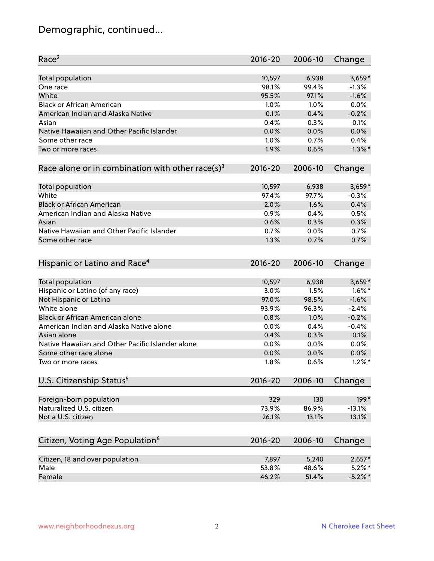# Demographic, continued...

| Race <sup>2</sup>                                            | $2016 - 20$ | 2006-10 | Change     |
|--------------------------------------------------------------|-------------|---------|------------|
| <b>Total population</b>                                      | 10,597      | 6,938   | $3,659*$   |
| One race                                                     | 98.1%       | 99.4%   | $-1.3%$    |
| White                                                        | 95.5%       | 97.1%   | $-1.6%$    |
| <b>Black or African American</b>                             | 1.0%        | 1.0%    | 0.0%       |
| American Indian and Alaska Native                            | 0.1%        | 0.4%    | $-0.2%$    |
| Asian                                                        | 0.4%        | 0.3%    | 0.1%       |
| Native Hawaiian and Other Pacific Islander                   | 0.0%        | 0.0%    | 0.0%       |
| Some other race                                              | 1.0%        | 0.7%    | 0.4%       |
| Two or more races                                            | 1.9%        | 0.6%    | $1.3\%$ *  |
| Race alone or in combination with other race(s) <sup>3</sup> | $2016 - 20$ | 2006-10 | Change     |
| <b>Total population</b>                                      | 10,597      | 6,938   | $3,659*$   |
| White                                                        | 97.4%       | 97.7%   | $-0.3%$    |
| <b>Black or African American</b>                             | 2.0%        | 1.6%    | 0.4%       |
| American Indian and Alaska Native                            | 0.9%        | 0.4%    | 0.5%       |
| Asian                                                        | 0.6%        | 0.3%    | 0.3%       |
| Native Hawaiian and Other Pacific Islander                   | 0.7%        | 0.0%    | 0.7%       |
| Some other race                                              | 1.3%        | 0.7%    | 0.7%       |
|                                                              |             |         |            |
| Hispanic or Latino and Race <sup>4</sup>                     | $2016 - 20$ | 2006-10 | Change     |
| <b>Total population</b>                                      | 10,597      | 6,938   | $3,659*$   |
| Hispanic or Latino (of any race)                             | 3.0%        | 1.5%    | $1.6\%$ *  |
| Not Hispanic or Latino                                       | 97.0%       | 98.5%   | $-1.6%$    |
| White alone                                                  | 93.9%       | 96.3%   | $-2.4%$    |
| Black or African American alone                              | 0.8%        | 1.0%    | $-0.2%$    |
| American Indian and Alaska Native alone                      | 0.0%        | 0.4%    | $-0.4%$    |
| Asian alone                                                  | 0.4%        | 0.3%    | 0.1%       |
| Native Hawaiian and Other Pacific Islander alone             | 0.0%        | 0.0%    | 0.0%       |
| Some other race alone                                        | 0.0%        | 0.0%    | 0.0%       |
| Two or more races                                            | 1.8%        | 0.6%    | $1.2\%$ *  |
| U.S. Citizenship Status <sup>5</sup>                         | $2016 - 20$ | 2006-10 | Change     |
|                                                              |             |         |            |
| Foreign-born population                                      | 329         | 130     | $199*$     |
| Naturalized U.S. citizen                                     | 73.9%       | 86.9%   | $-13.1%$   |
| Not a U.S. citizen                                           | 26.1%       | 13.1%   | 13.1%      |
| Citizen, Voting Age Population <sup>6</sup>                  | $2016 - 20$ | 2006-10 | Change     |
| Citizen, 18 and over population                              | 7,897       | 5,240   | $2,657*$   |
| Male                                                         | 53.8%       | 48.6%   | $5.2\%$ *  |
| Female                                                       | 46.2%       | 51.4%   | $-5.2\%$ * |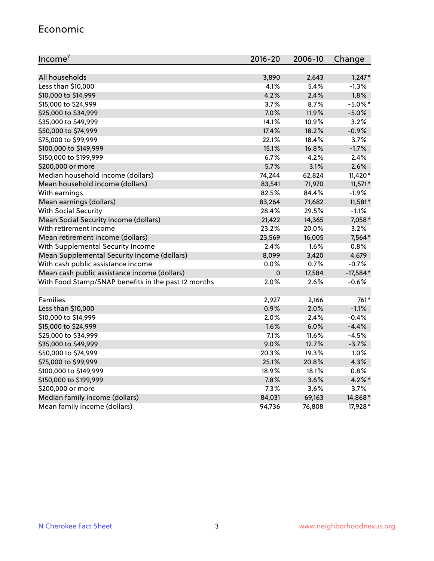#### Economic

| Income <sup>7</sup>                                 | $2016 - 20$ | 2006-10 | Change     |
|-----------------------------------------------------|-------------|---------|------------|
|                                                     |             |         |            |
| All households                                      | 3,890       | 2,643   | $1,247*$   |
| Less than \$10,000                                  | 4.1%        | 5.4%    | $-1.3%$    |
| \$10,000 to \$14,999                                | 4.2%        | 2.4%    | $1.8\%$    |
| \$15,000 to \$24,999                                | 3.7%        | 8.7%    | $-5.0\%$ * |
| \$25,000 to \$34,999                                | 7.0%        | 11.9%   | $-5.0%$    |
| \$35,000 to \$49,999                                | 14.1%       | 10.9%   | 3.2%       |
| \$50,000 to \$74,999                                | 17.4%       | 18.2%   | $-0.9%$    |
| \$75,000 to \$99,999                                | 22.1%       | 18.4%   | 3.7%       |
| \$100,000 to \$149,999                              | 15.1%       | 16.8%   | $-1.7%$    |
| \$150,000 to \$199,999                              | 6.7%        | 4.2%    | 2.4%       |
| \$200,000 or more                                   | 5.7%        | 3.1%    | 2.6%       |
| Median household income (dollars)                   | 74,244      | 62,824  | $11,420*$  |
| Mean household income (dollars)                     | 83,541      | 71,970  | $11,571*$  |
| With earnings                                       | 82.5%       | 84.4%   | $-1.9%$    |
| Mean earnings (dollars)                             | 83,264      | 71,682  | 11,581*    |
| <b>With Social Security</b>                         | 28.4%       | 29.5%   | $-1.1%$    |
| Mean Social Security income (dollars)               | 21,422      | 14,365  | 7,058*     |
| With retirement income                              | 23.2%       | 20.0%   | 3.2%       |
| Mean retirement income (dollars)                    | 23,569      | 16,005  | 7,564*     |
| With Supplemental Security Income                   | $2.4\%$     | 1.6%    | 0.8%       |
| Mean Supplemental Security Income (dollars)         | 8,099       | 3,420   | 4,679      |
| With cash public assistance income                  | 0.0%        | 0.7%    | $-0.7%$    |
| Mean cash public assistance income (dollars)        | $\mathbf 0$ | 17,584  | $-17,584*$ |
| With Food Stamp/SNAP benefits in the past 12 months | 2.0%        | 2.6%    | $-0.6%$    |
|                                                     |             |         |            |
| Families                                            | 2,927       | 2,166   | 761*       |
| Less than \$10,000                                  | 0.9%        | 2.0%    | $-1.1%$    |
| \$10,000 to \$14,999                                | 2.0%        | 2.4%    | $-0.4%$    |
| \$15,000 to \$24,999                                | 1.6%        | 6.0%    | $-4.4%$    |
| \$25,000 to \$34,999                                | 7.1%        | 11.6%   | $-4.5%$    |
| \$35,000 to \$49,999                                | 9.0%        | 12.7%   | $-3.7%$    |
| \$50,000 to \$74,999                                | 20.3%       | 19.3%   | 1.0%       |
| \$75,000 to \$99,999                                | 25.1%       | 20.8%   | 4.3%       |
| \$100,000 to \$149,999                              | 18.9%       | 18.1%   | 0.8%       |
| \$150,000 to \$199,999                              | 7.8%        | 3.6%    | $4.2\%$ *  |
| \$200,000 or more                                   | 7.3%        | 3.6%    | 3.7%       |
| Median family income (dollars)                      | 84,031      | 69,163  | 14,868*    |
| Mean family income (dollars)                        | 94,736      | 76,808  | 17,928 *   |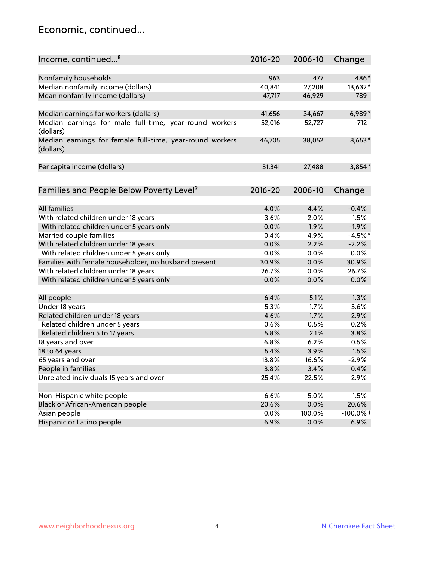#### Economic, continued...

| Income, continued <sup>8</sup>                                        | $2016 - 20$ | 2006-10       | Change      |
|-----------------------------------------------------------------------|-------------|---------------|-------------|
|                                                                       |             |               |             |
| Nonfamily households                                                  | 963         | 477           | 486*        |
| Median nonfamily income (dollars)                                     | 40,841      | 27,208        | 13,632*     |
| Mean nonfamily income (dollars)                                       | 47,717      | 46,929        | 789         |
| Median earnings for workers (dollars)                                 | 41,656      | 34,667        | $6,989*$    |
| Median earnings for male full-time, year-round workers                | 52,016      | 52,727        | $-712$      |
| (dollars)                                                             |             |               |             |
| Median earnings for female full-time, year-round workers<br>(dollars) | 46,705      | 38,052        | 8,653*      |
| Per capita income (dollars)                                           | 31,341      | 27,488        | $3,854*$    |
|                                                                       |             |               |             |
| Families and People Below Poverty Level <sup>9</sup>                  | $2016 - 20$ | 2006-10       | Change      |
|                                                                       |             |               |             |
| <b>All families</b>                                                   | 4.0%        | 4.4%          | $-0.4%$     |
| With related children under 18 years                                  | 3.6%        | 2.0%          | 1.5%        |
| With related children under 5 years only                              | 0.0%        | 1.9%          | $-1.9%$     |
| Married couple families                                               | 0.4%        | 4.9%          | $-4.5%$ *   |
| With related children under 18 years                                  | 0.0%        | 2.2%          | $-2.2%$     |
| With related children under 5 years only                              | 0.0%        | 0.0%          | 0.0%        |
| Families with female householder, no husband present                  | 30.9%       | 0.0%          | 30.9%       |
| With related children under 18 years                                  | 26.7%       | 0.0%          | 26.7%       |
| With related children under 5 years only                              | 0.0%        | 0.0%          | 0.0%        |
| All people                                                            | 6.4%        | 5.1%          | 1.3%        |
| Under 18 years                                                        | 5.3%        | 1.7%          | 3.6%        |
| Related children under 18 years                                       | 4.6%        | 1.7%          | 2.9%        |
| Related children under 5 years                                        | 0.6%        | 0.5%          | 0.2%        |
|                                                                       | 5.8%        | 2.1%          | 3.8%        |
| Related children 5 to 17 years                                        | 6.8%        | 6.2%          | 0.5%        |
| 18 years and over                                                     | 5.4%        |               |             |
| 18 to 64 years                                                        |             | 3.9%<br>16.6% | 1.5%        |
| 65 years and over                                                     | 13.8%       |               | $-2.9%$     |
| People in families                                                    | 3.8%        | 3.4%          | 0.4%        |
| Unrelated individuals 15 years and over                               | 25.4%       | 22.5%         | 2.9%        |
|                                                                       |             |               |             |
| Non-Hispanic white people                                             | 6.6%        | 5.0%          | 1.5%        |
| Black or African-American people                                      | 20.6%       | 0.0%          | 20.6%       |
| Asian people                                                          | 0.0%        | 100.0%        | $-100.0%$ + |
| Hispanic or Latino people                                             | 6.9%        | 0.0%          | 6.9%        |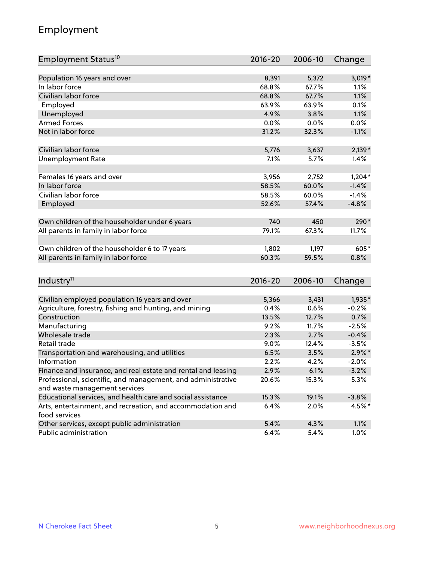## Employment

| Employment Status <sup>10</sup>                                        | $2016 - 20$   | 2006-10       | Change          |
|------------------------------------------------------------------------|---------------|---------------|-----------------|
|                                                                        |               |               |                 |
| Population 16 years and over                                           | 8,391         | 5,372         | $3,019*$        |
| In labor force                                                         | 68.8%         | 67.7%         | 1.1%            |
| Civilian labor force                                                   | 68.8%         | 67.7%         | 1.1%            |
| Employed                                                               | 63.9%         | 63.9%         | 0.1%            |
| Unemployed                                                             | 4.9%          | 3.8%          | 1.1%            |
| <b>Armed Forces</b>                                                    | 0.0%          | 0.0%          | 0.0%            |
| Not in labor force                                                     | 31.2%         | 32.3%         | $-1.1%$         |
|                                                                        |               |               |                 |
| Civilian labor force                                                   | 5,776         | 3,637         | $2,139*$        |
| <b>Unemployment Rate</b>                                               | 7.1%          | 5.7%          | 1.4%            |
| Females 16 years and over                                              | 3,956         | 2,752         | $1,204*$        |
| In labor force                                                         | 58.5%         | 60.0%         | $-1.4%$         |
| Civilian labor force                                                   | 58.5%         | 60.0%         | $-1.4%$         |
| Employed                                                               | 52.6%         | 57.4%         | $-4.8%$         |
|                                                                        |               |               |                 |
| Own children of the householder under 6 years                          | 740           | 450           | 290*            |
| All parents in family in labor force                                   | 79.1%         | 67.3%         | 11.7%           |
|                                                                        |               |               |                 |
| Own children of the householder 6 to 17 years                          | 1,802         | 1,197         | 605*            |
| All parents in family in labor force                                   | 60.3%         | 59.5%         | 0.8%            |
|                                                                        |               |               |                 |
| Industry <sup>11</sup>                                                 | 2016-20       | 2006-10       | Change          |
|                                                                        |               |               |                 |
| Civilian employed population 16 years and over                         | 5,366         | 3,431         | 1,935*          |
| Agriculture, forestry, fishing and hunting, and mining<br>Construction | 0.4%<br>13.5% | 0.6%<br>12.7% | $-0.2%$<br>0.7% |
| Manufacturing                                                          | 9.2%          | 11.7%         | $-2.5%$         |
| Wholesale trade                                                        | 2.3%          | 2.7%          | $-0.4%$         |
| Retail trade                                                           | 9.0%          | 12.4%         | $-3.5%$         |
| Transportation and warehousing, and utilities                          | 6.5%          | 3.5%          | $2.9\%$ *       |
| Information                                                            | 2.2%          | 4.2%          | $-2.0%$         |
| Finance and insurance, and real estate and rental and leasing          | 2.9%          | 6.1%          | $-3.2%$         |
| Professional, scientific, and management, and administrative           | 20.6%         | 15.3%         | 5.3%            |
| and waste management services                                          |               |               |                 |
| Educational services, and health care and social assistance            | 15.3%         | 19.1%         | $-3.8%$         |
| Arts, entertainment, and recreation, and accommodation and             | 6.4%          | 2.0%          | $4.5%$ *        |
| food services                                                          |               |               |                 |
| Other services, except public administration                           | 5.4%          | 4.3%          | 1.1%            |
| Public administration                                                  | 6.4%          | 5.4%          | 1.0%            |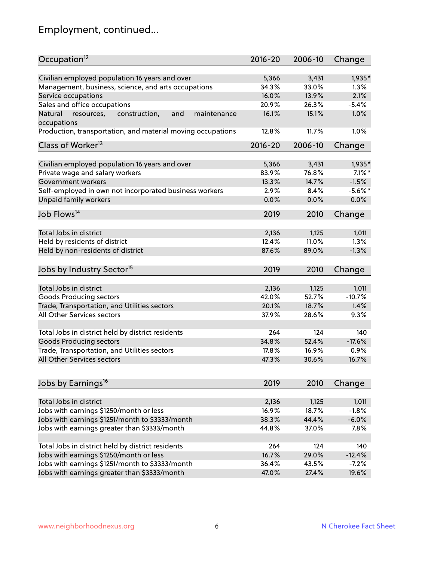# Employment, continued...

| Occupation <sup>12</sup>                                                    | $2016 - 20$ | 2006-10 | Change    |
|-----------------------------------------------------------------------------|-------------|---------|-----------|
| Civilian employed population 16 years and over                              | 5,366       | 3,431   | 1,935*    |
| Management, business, science, and arts occupations                         | 34.3%       | 33.0%   | 1.3%      |
| Service occupations                                                         | 16.0%       | 13.9%   | 2.1%      |
| Sales and office occupations                                                | 20.9%       | 26.3%   | $-5.4%$   |
|                                                                             | 16.1%       |         | 1.0%      |
| Natural<br>and<br>resources,<br>construction,<br>maintenance<br>occupations |             | 15.1%   |           |
| Production, transportation, and material moving occupations                 | 12.8%       | 11.7%   | 1.0%      |
| Class of Worker <sup>13</sup>                                               | $2016 - 20$ | 2006-10 | Change    |
|                                                                             |             |         |           |
| Civilian employed population 16 years and over                              | 5,366       | 3,431   | 1,935*    |
| Private wage and salary workers                                             | 83.9%       | 76.8%   | $7.1\%$ * |
| Government workers                                                          | 13.3%       | 14.7%   | $-1.5%$   |
| Self-employed in own not incorporated business workers                      | 2.9%        | 8.4%    | $-5.6%$ * |
| Unpaid family workers                                                       | 0.0%        | 0.0%    | 0.0%      |
| Job Flows <sup>14</sup>                                                     | 2019        | 2010    | Change    |
|                                                                             |             |         |           |
| Total Jobs in district                                                      | 2,136       | 1,125   | 1,011     |
| Held by residents of district                                               | 12.4%       | 11.0%   | 1.3%      |
| Held by non-residents of district                                           | 87.6%       | 89.0%   | $-1.3%$   |
| Jobs by Industry Sector <sup>15</sup>                                       | 2019        | 2010    | Change    |
|                                                                             |             |         |           |
| Total Jobs in district                                                      | 2,136       | 1,125   | 1,011     |
| Goods Producing sectors                                                     | 42.0%       | 52.7%   | $-10.7%$  |
| Trade, Transportation, and Utilities sectors                                | 20.1%       | 18.7%   | 1.4%      |
| All Other Services sectors                                                  | 37.9%       | 28.6%   | 9.3%      |
|                                                                             |             |         |           |
| Total Jobs in district held by district residents                           | 264         | 124     | 140       |
| <b>Goods Producing sectors</b>                                              | 34.8%       | 52.4%   | $-17.6%$  |
| Trade, Transportation, and Utilities sectors                                | 17.8%       | 16.9%   | 0.9%      |
| All Other Services sectors                                                  | 47.3%       | 30.6%   | 16.7%     |
| Jobs by Earnings <sup>16</sup>                                              | 2019        | 2010    | Change    |
|                                                                             |             |         |           |
| Total Jobs in district                                                      | 2,136       | 1,125   | 1,011     |
| Jobs with earnings \$1250/month or less                                     | 16.9%       | 18.7%   | $-1.8%$   |
| Jobs with earnings \$1251/month to \$3333/month                             | 38.3%       | 44.4%   | $-6.0%$   |
| Jobs with earnings greater than \$3333/month                                | 44.8%       | 37.0%   | 7.8%      |
|                                                                             |             |         |           |
| Total Jobs in district held by district residents                           | 264         | 124     | 140       |
| Jobs with earnings \$1250/month or less                                     | 16.7%       | 29.0%   | $-12.4%$  |
| Jobs with earnings \$1251/month to \$3333/month                             | 36.4%       | 43.5%   | $-7.2%$   |
| Jobs with earnings greater than \$3333/month                                | 47.0%       | 27.4%   | 19.6%     |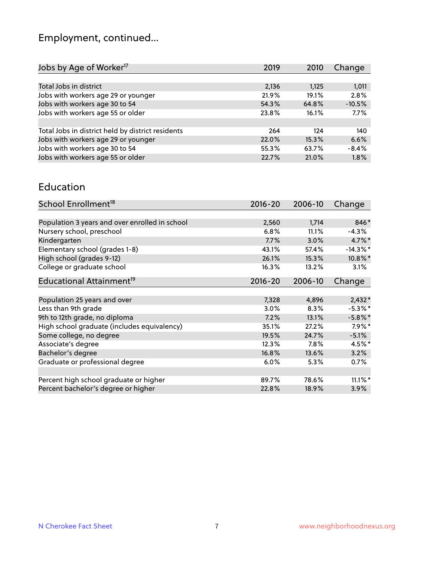# Employment, continued...

| Jobs by Age of Worker <sup>17</sup>               | 2019  | 2010  | Change   |
|---------------------------------------------------|-------|-------|----------|
|                                                   |       |       |          |
| Total Jobs in district                            | 2,136 | 1,125 | 1,011    |
| Jobs with workers age 29 or younger               | 21.9% | 19.1% | 2.8%     |
| Jobs with workers age 30 to 54                    | 54.3% | 64.8% | $-10.5%$ |
| Jobs with workers age 55 or older                 | 23.8% | 16.1% | 7.7%     |
|                                                   |       |       |          |
| Total Jobs in district held by district residents | 264   | 124   | 140      |
| Jobs with workers age 29 or younger               | 22.0% | 15.3% | 6.6%     |
| Jobs with workers age 30 to 54                    | 55.3% | 63.7% | $-8.4%$  |
| Jobs with workers age 55 or older                 | 22.7% | 21.0% | 1.8%     |
|                                                   |       |       |          |

#### Education

| School Enrollment <sup>18</sup>                | $2016 - 20$ | 2006-10 | Change      |
|------------------------------------------------|-------------|---------|-------------|
|                                                |             |         |             |
| Population 3 years and over enrolled in school | 2,560       | 1,714   | 846*        |
| Nursery school, preschool                      | 6.8%        | 11.1%   | $-4.3%$     |
| Kindergarten                                   | 7.7%        | 3.0%    | $4.7\%$ *   |
| Elementary school (grades 1-8)                 | 43.1%       | 57.4%   | $-14.3\%$ * |
| High school (grades 9-12)                      | 26.1%       | 15.3%   | $10.8\%$ *  |
| College or graduate school                     | 16.3%       | 13.2%   | 3.1%        |
| Educational Attainment <sup>19</sup>           | $2016 - 20$ | 2006-10 | Change      |
|                                                |             |         |             |
| Population 25 years and over                   | 7,328       | 4,896   | $2,432*$    |
| Less than 9th grade                            | 3.0%        | 8.3%    | $-5.3\%$ *  |
| 9th to 12th grade, no diploma                  | 7.2%        | 13.1%   | $-5.8\%$ *  |
| High school graduate (includes equivalency)    | 35.1%       | 27.2%   | $7.9\%$ *   |
| Some college, no degree                        | 19.5%       | 24.7%   | $-5.1%$     |
| Associate's degree                             | 12.3%       | 7.8%    | $4.5%$ *    |
| Bachelor's degree                              | 16.8%       | 13.6%   | 3.2%        |
| Graduate or professional degree                | 6.0%        | 5.3%    | 0.7%        |
|                                                |             |         |             |
| Percent high school graduate or higher         | 89.7%       | 78.6%   | $11.1\%$ *  |
| Percent bachelor's degree or higher            | 22.8%       | 18.9%   | $3.9\%$     |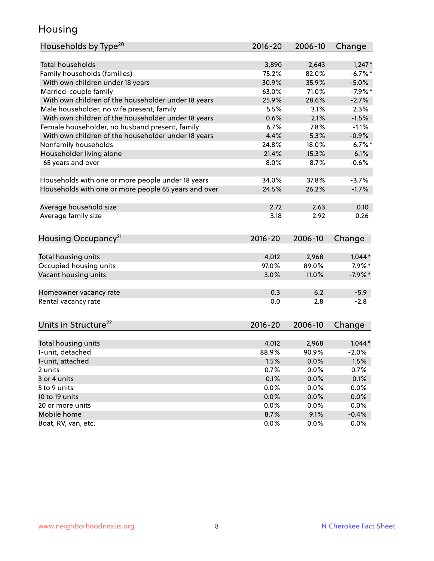## Housing

| Households by Type <sup>20</sup>                     | 2016-20      | 2006-10      | Change       |
|------------------------------------------------------|--------------|--------------|--------------|
|                                                      |              |              |              |
| <b>Total households</b>                              | 3,890        | 2,643        | $1,247*$     |
| Family households (families)                         | 75.2%        | 82.0%        | $-6.7\%$ *   |
| With own children under 18 years                     | 30.9%        | 35.9%        | $-5.0%$      |
| Married-couple family                                | 63.0%        | 71.0%        | $-7.9%$ *    |
| With own children of the householder under 18 years  | 25.9%        | 28.6%        | $-2.7%$      |
| Male householder, no wife present, family            | 5.5%         | 3.1%         | 2.3%         |
| With own children of the householder under 18 years  | 0.6%         | 2.1%         | $-1.5%$      |
| Female householder, no husband present, family       | 6.7%         | 7.8%         | $-1.1%$      |
| With own children of the householder under 18 years  | 4.4%         | 5.3%         | $-0.9%$      |
| Nonfamily households                                 | 24.8%        | 18.0%        | $6.7%$ *     |
| Householder living alone                             | 21.4%        | 15.3%        | 6.1%         |
| 65 years and over                                    | 8.0%         | 8.7%         | $-0.6%$      |
|                                                      |              |              |              |
| Households with one or more people under 18 years    | 34.0%        | 37.8%        | $-3.7%$      |
| Households with one or more people 65 years and over | 24.5%        | 26.2%        | $-1.7%$      |
|                                                      |              |              |              |
| Average household size                               | 2.72         | 2.63         | 0.10         |
| Average family size                                  | 3.18         | 2.92         | 0.26         |
|                                                      |              |              |              |
| Housing Occupancy <sup>21</sup>                      | $2016 - 20$  | 2006-10      | Change       |
|                                                      |              |              |              |
| Total housing units                                  | 4,012        | 2,968        | $1,044*$     |
| Occupied housing units                               | 97.0%        | 89.0%        | $7.9\%$ *    |
| Vacant housing units                                 | 3.0%         | 11.0%        | $-7.9%$ *    |
|                                                      |              |              |              |
| Homeowner vacancy rate                               | 0.3          | 6.2          | $-5.9$       |
| Rental vacancy rate                                  | 0.0          | 2.8          | $-2.8$       |
|                                                      |              |              |              |
| Units in Structure <sup>22</sup>                     |              | 2006-10      |              |
|                                                      | $2016 - 20$  |              | Change       |
| Total housing units                                  | 4,012        | 2,968        | $1,044*$     |
| 1-unit, detached                                     | 88.9%        | 90.9%        | $-2.0%$      |
|                                                      |              |              |              |
| 1-unit, attached<br>2 units                          | 1.5%<br>0.7% | 0.0%<br>0.0% | 1.5%<br>0.7% |
| 3 or 4 units                                         |              | 0.0%         | 0.1%         |
|                                                      | 0.1%         |              |              |
| 5 to 9 units                                         | 0.0%         | 0.0%         | 0.0%         |
| 10 to 19 units                                       | 0.0%         | 0.0%         | 0.0%         |
| 20 or more units                                     | 0.0%         | 0.0%         | 0.0%         |
| Mobile home                                          | 8.7%         | 9.1%         | $-0.4%$      |
| Boat, RV, van, etc.                                  | 0.0%         | $0.0\%$      | 0.0%         |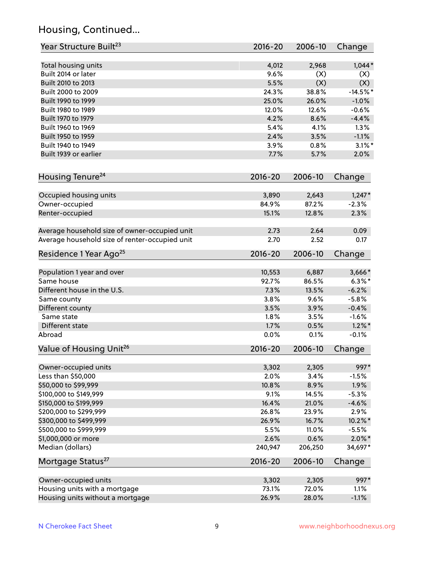## Housing, Continued...

| Year Structure Built <sup>23</sup>             | 2016-20     | 2006-10 | Change     |
|------------------------------------------------|-------------|---------|------------|
| Total housing units                            | 4,012       | 2,968   | $1,044*$   |
| Built 2014 or later                            | 9.6%        | (X)     | (X)        |
| Built 2010 to 2013                             | 5.5%        | (X)     | (X)        |
| Built 2000 to 2009                             | 24.3%       | 38.8%   | $-14.5%$ * |
| Built 1990 to 1999                             | 25.0%       | 26.0%   | $-1.0%$    |
| Built 1980 to 1989                             | 12.0%       | 12.6%   | $-0.6%$    |
| Built 1970 to 1979                             | 4.2%        | 8.6%    | $-4.4%$    |
| Built 1960 to 1969                             | 5.4%        | 4.1%    | 1.3%       |
| Built 1950 to 1959                             | 2.4%        | 3.5%    | $-1.1%$    |
| Built 1940 to 1949                             | 3.9%        | 0.8%    | $3.1\%$ *  |
| Built 1939 or earlier                          | 7.7%        | 5.7%    | 2.0%       |
| Housing Tenure <sup>24</sup>                   | $2016 - 20$ | 2006-10 | Change     |
| Occupied housing units                         | 3,890       | 2,643   | $1,247*$   |
| Owner-occupied                                 | 84.9%       | 87.2%   | $-2.3%$    |
| Renter-occupied                                | 15.1%       | 12.8%   | 2.3%       |
| Average household size of owner-occupied unit  | 2.73        | 2.64    | 0.09       |
| Average household size of renter-occupied unit | 2.70        | 2.52    | 0.17       |
| Residence 1 Year Ago <sup>25</sup>             | $2016 - 20$ | 2006-10 | Change     |
| Population 1 year and over                     | 10,553      | 6,887   | $3,666*$   |
| Same house                                     | 92.7%       | 86.5%   | $6.3\%$ *  |
| Different house in the U.S.                    | 7.3%        | 13.5%   | $-6.2%$    |
| Same county                                    | 3.8%        | 9.6%    | $-5.8%$    |
| Different county                               | 3.5%        | 3.9%    | $-0.4%$    |
| Same state                                     | 1.8%        | 3.5%    | $-1.6%$    |
| Different state                                | 1.7%        | 0.5%    | $1.2\%$ *  |
| Abroad                                         | 0.0%        | 0.1%    | $-0.1%$    |
| Value of Housing Unit <sup>26</sup>            | $2016 - 20$ | 2006-10 | Change     |
| Owner-occupied units                           | 3,302       | 2,305   | 997*       |
| Less than \$50,000                             | 2.0%        | 3.4%    | $-1.5%$    |
| \$50,000 to \$99,999                           | 10.8%       | 8.9%    | 1.9%       |
| \$100,000 to \$149,999                         | 9.1%        | 14.5%   | $-5.3%$    |
| \$150,000 to \$199,999                         | 16.4%       | 21.0%   | $-4.6%$    |
| \$200,000 to \$299,999                         | 26.8%       | 23.9%   | 2.9%       |
| \$300,000 to \$499,999                         | 26.9%       | 16.7%   | 10.2%*     |
| \$500,000 to \$999,999                         | 5.5%        | 11.0%   | $-5.5%$    |
| \$1,000,000 or more                            | 2.6%        | 0.6%    | $2.0\%$ *  |
| Median (dollars)                               | 240,947     | 206,250 | 34,697*    |
| Mortgage Status <sup>27</sup>                  | $2016 - 20$ | 2006-10 | Change     |
| Owner-occupied units                           | 3,302       | 2,305   | 997*       |
| Housing units with a mortgage                  | 73.1%       | 72.0%   | 1.1%       |
| Housing units without a mortgage               | 26.9%       | 28.0%   | $-1.1%$    |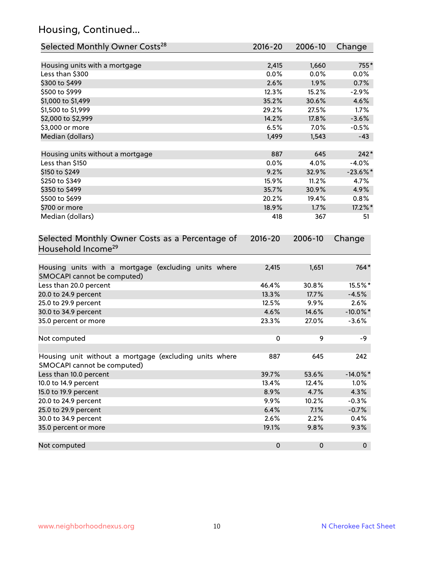## Housing, Continued...

| Selected Monthly Owner Costs <sup>28</sup>                                            | 2016-20     | 2006-10 | Change      |
|---------------------------------------------------------------------------------------|-------------|---------|-------------|
| Housing units with a mortgage                                                         | 2,415       | 1,660   | 755*        |
| Less than \$300                                                                       | 0.0%        | 0.0%    | 0.0%        |
| \$300 to \$499                                                                        | 2.6%        | 1.9%    | 0.7%        |
| \$500 to \$999                                                                        | 12.3%       | 15.2%   | $-2.9%$     |
| \$1,000 to \$1,499                                                                    | 35.2%       | 30.6%   | 4.6%        |
| \$1,500 to \$1,999                                                                    | 29.2%       | 27.5%   | 1.7%        |
| \$2,000 to \$2,999                                                                    | 14.2%       | 17.8%   | $-3.6%$     |
| \$3,000 or more                                                                       | 6.5%        | 7.0%    | $-0.5%$     |
| Median (dollars)                                                                      | 1,499       | 1,543   | $-43$       |
| Housing units without a mortgage                                                      | 887         | 645     | $242*$      |
| Less than \$150                                                                       | 0.0%        | 4.0%    | $-4.0%$     |
| \$150 to \$249                                                                        | 9.2%        | 32.9%   | $-23.6\%$ * |
| \$250 to \$349                                                                        | 15.9%       | 11.2%   | 4.7%        |
| \$350 to \$499                                                                        | 35.7%       | 30.9%   | 4.9%        |
| \$500 to \$699                                                                        | 20.2%       | 19.4%   | 0.8%        |
| \$700 or more                                                                         | 18.9%       | 1.7%    | 17.2%*      |
| Median (dollars)                                                                      | 418         | 367     | 51          |
| Selected Monthly Owner Costs as a Percentage of<br>Household Income <sup>29</sup>     | $2016 - 20$ | 2006-10 | Change      |
| Housing units with a mortgage (excluding units where<br>SMOCAPI cannot be computed)   | 2,415       | 1,651   | $764*$      |
| Less than 20.0 percent                                                                | 46.4%       | 30.8%   | 15.5%*      |
| 20.0 to 24.9 percent                                                                  | 13.3%       | 17.7%   | $-4.5%$     |
| 25.0 to 29.9 percent                                                                  | 12.5%       | 9.9%    | 2.6%        |
| 30.0 to 34.9 percent                                                                  | 4.6%        | 14.6%   | $-10.0\%$ * |
| 35.0 percent or more                                                                  | 23.3%       | 27.0%   | $-3.6%$     |
| Not computed                                                                          | $\pmb{0}$   | 9       | -9          |
| Housing unit without a mortgage (excluding units where<br>SMOCAPI cannot be computed) | 887         | 645     | 242         |
| Less than 10.0 percent                                                                | 39.7%       | 53.6%   | $-14.0\%$ * |
| 10.0 to 14.9 percent                                                                  | 13.4%       | 12.4%   | 1.0%        |
| 15.0 to 19.9 percent                                                                  | 8.9%        | 4.7%    | 4.3%        |
| 20.0 to 24.9 percent                                                                  | 9.9%        | 10.2%   | $-0.3%$     |
| 25.0 to 29.9 percent                                                                  | 6.4%        | 7.1%    | $-0.7%$     |
| 30.0 to 34.9 percent                                                                  | 2.6%        | 2.2%    | 0.4%        |
| 35.0 percent or more                                                                  | 19.1%       | 9.8%    | 9.3%        |
| Not computed                                                                          | $\pmb{0}$   | 0       | $\mathbf 0$ |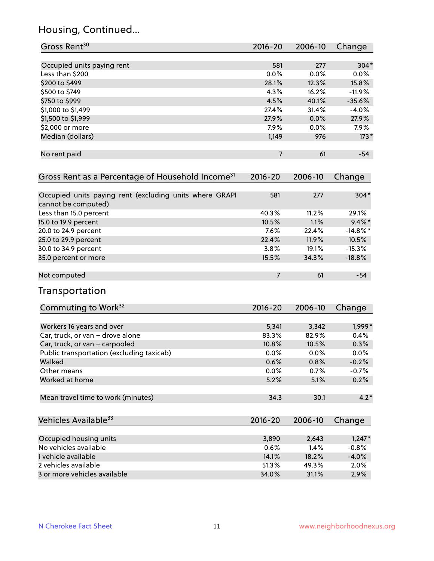## Housing, Continued...

| Gross Rent <sup>30</sup>                                                       | 2016-20        | 2006-10 | Change      |
|--------------------------------------------------------------------------------|----------------|---------|-------------|
| Occupied units paying rent                                                     | 581            | 277     | $304*$      |
| Less than \$200                                                                | 0.0%           | 0.0%    | $0.0\%$     |
| \$200 to \$499                                                                 | 28.1%          | 12.3%   | 15.8%       |
| \$500 to \$749                                                                 | 4.3%           | 16.2%   | $-11.9%$    |
| \$750 to \$999                                                                 | 4.5%           | 40.1%   | $-35.6%$    |
| \$1,000 to \$1,499                                                             | 27.4%          | 31.4%   | $-4.0%$     |
| \$1,500 to \$1,999                                                             | 27.9%          | 0.0%    | 27.9%       |
| \$2,000 or more                                                                | 7.9%           | 0.0%    | 7.9%        |
| Median (dollars)                                                               | 1,149          | 976     | $173*$      |
| No rent paid                                                                   | $\overline{7}$ | 61      | $-54$       |
|                                                                                |                |         |             |
| Gross Rent as a Percentage of Household Income <sup>31</sup>                   | $2016 - 20$    | 2006-10 | Change      |
| Occupied units paying rent (excluding units where GRAPI<br>cannot be computed) | 581            | 277     | $304*$      |
| Less than 15.0 percent                                                         | 40.3%          | 11.2%   | 29.1%       |
| 15.0 to 19.9 percent                                                           | 10.5%          | 1.1%    | $9.4\%$ *   |
| 20.0 to 24.9 percent                                                           | 7.6%           | 22.4%   | $-14.8\%$ * |
| 25.0 to 29.9 percent                                                           | 22.4%          | 11.9%   | 10.5%       |
| 30.0 to 34.9 percent                                                           | 3.8%           | 19.1%   | $-15.3%$    |
| 35.0 percent or more                                                           | 15.5%          | 34.3%   | $-18.8%$    |
| Not computed                                                                   | $\overline{7}$ | 61      | $-54$       |
| <b>Transportation</b>                                                          |                |         |             |
| Commuting to Work <sup>32</sup>                                                | 2016-20        | 2006-10 | Change      |
| Workers 16 years and over                                                      | 5,341          | 3,342   | 1,999*      |
| Car, truck, or van - drove alone                                               | 83.3%          | 82.9%   | 0.4%        |
| Car, truck, or van - carpooled                                                 | 10.8%          | 10.5%   | 0.3%        |
| Public transportation (excluding taxicab)                                      | 0.0%           | 0.0%    | 0.0%        |
| Walked                                                                         | 0.6%           | 0.8%    | $-0.2%$     |
| Other means                                                                    | 0.0%           | 0.7%    | $-0.7%$     |
| Worked at home                                                                 | 5.2%           | 5.1%    | 0.2%        |
| Mean travel time to work (minutes)                                             | 34.3           | 30.1    | $4.2*$      |
| Vehicles Available <sup>33</sup>                                               | $2016 - 20$    | 2006-10 | Change      |
| Occupied housing units                                                         | 3,890          | 2,643   | $1,247*$    |
| No vehicles available                                                          | 0.6%           | 1.4%    | $-0.8%$     |
| 1 vehicle available                                                            | 14.1%          | 18.2%   | $-4.0%$     |
| 2 vehicles available                                                           | 51.3%          | 49.3%   | 2.0%        |
| 3 or more vehicles available                                                   | 34.0%          | 31.1%   | 2.9%        |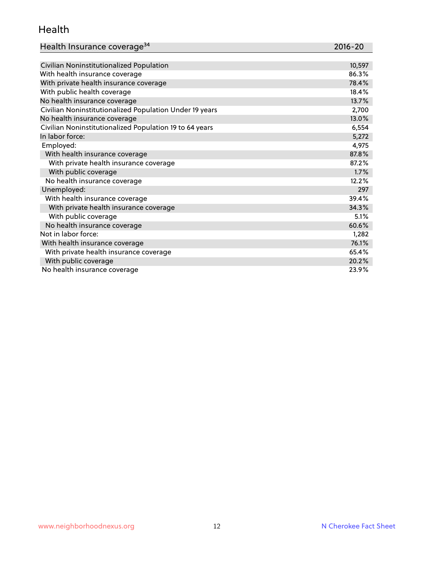#### Health

| Health Insurance coverage <sup>34</sup> | 2016-20 |
|-----------------------------------------|---------|
|-----------------------------------------|---------|

| Civilian Noninstitutionalized Population                | 10,597 |
|---------------------------------------------------------|--------|
| With health insurance coverage                          | 86.3%  |
| With private health insurance coverage                  | 78.4%  |
| With public health coverage                             | 18.4%  |
| No health insurance coverage                            | 13.7%  |
| Civilian Noninstitutionalized Population Under 19 years | 2,700  |
| No health insurance coverage                            | 13.0%  |
| Civilian Noninstitutionalized Population 19 to 64 years | 6,554  |
| In labor force:                                         | 5,272  |
| Employed:                                               | 4,975  |
| With health insurance coverage                          | 87.8%  |
| With private health insurance coverage                  | 87.2%  |
| With public coverage                                    | 1.7%   |
| No health insurance coverage                            | 12.2%  |
| Unemployed:                                             | 297    |
| With health insurance coverage                          | 39.4%  |
| With private health insurance coverage                  | 34.3%  |
| With public coverage                                    | 5.1%   |
| No health insurance coverage                            | 60.6%  |
| Not in labor force:                                     | 1,282  |
| With health insurance coverage                          | 76.1%  |
| With private health insurance coverage                  | 65.4%  |
| With public coverage                                    | 20.2%  |
| No health insurance coverage                            | 23.9%  |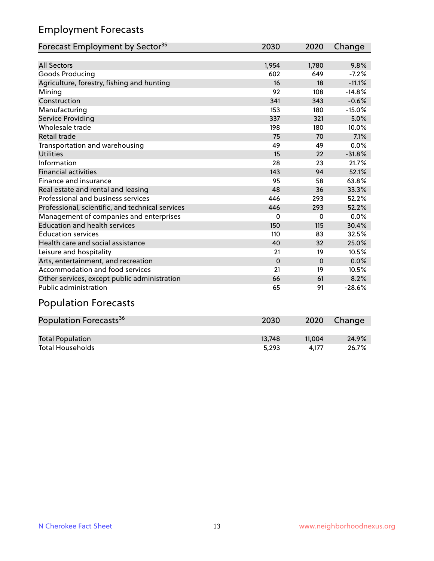## Employment Forecasts

| Forecast Employment by Sector <sup>35</sup>      | 2030     | 2020     | Change   |
|--------------------------------------------------|----------|----------|----------|
|                                                  |          |          |          |
| <b>All Sectors</b>                               | 1,954    | 1,780    | 9.8%     |
| Goods Producing                                  | 602      | 649      | $-7.2%$  |
| Agriculture, forestry, fishing and hunting       | 16       | 18       | $-11.1%$ |
| Mining                                           | 92       | 108      | $-14.8%$ |
| Construction                                     | 341      | 343      | $-0.6%$  |
| Manufacturing                                    | 153      | 180      | $-15.0%$ |
| Service Providing                                | 337      | 321      | 5.0%     |
| Wholesale trade                                  | 198      | 180      | 10.0%    |
| Retail trade                                     | 75       | 70       | 7.1%     |
| Transportation and warehousing                   | 49       | 49       | 0.0%     |
| <b>Utilities</b>                                 | 15       | 22       | $-31.8%$ |
| Information                                      | 28       | 23       | 21.7%    |
| <b>Financial activities</b>                      | 143      | 94       | 52.1%    |
| Finance and insurance                            | 95       | 58       | 63.8%    |
| Real estate and rental and leasing               | 48       | 36       | 33.3%    |
| Professional and business services               | 446      | 293      | 52.2%    |
| Professional, scientific, and technical services | 446      | 293      | 52.2%    |
| Management of companies and enterprises          | 0        | 0        | 0.0%     |
| <b>Education and health services</b>             | 150      | 115      | 30.4%    |
| <b>Education services</b>                        | 110      | 83       | 32.5%    |
| Health care and social assistance                | 40       | 32       | 25.0%    |
| Leisure and hospitality                          | 21       | 19       | 10.5%    |
| Arts, entertainment, and recreation              | $\Omega$ | $\Omega$ | 0.0%     |
| Accommodation and food services                  | 21       | 19       | 10.5%    |
| Other services, except public administration     | 66       | 61       | 8.2%     |
| <b>Public administration</b>                     | 65       | 91       | $-28.6%$ |

# Population Forecasts

| Population Forecasts <sup>36</sup> | 2030   | 2020   | Change |
|------------------------------------|--------|--------|--------|
|                                    |        |        |        |
| <b>Total Population</b>            | 13.748 | 11.004 | 24.9%  |
| <b>Total Households</b>            | 5.293  | 4.177  | 26.7%  |